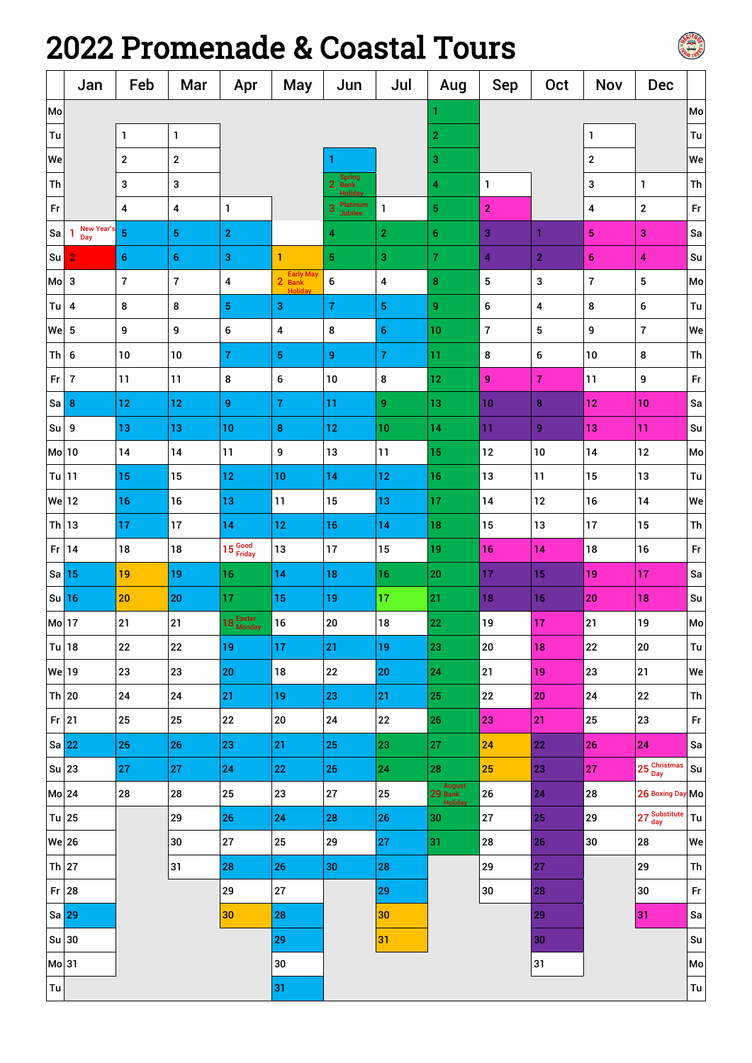## 2022 Promenade & Coastal Tours



|               | Jan                   | Feb                     | Mar            | Apr                 | May                           | Jun                               | Jul              | Aug                          | <b>Sep</b>   | Oct              | <b>Nov</b>              | <b>Dec</b>              |                              |
|---------------|-----------------------|-------------------------|----------------|---------------------|-------------------------------|-----------------------------------|------------------|------------------------------|--------------|------------------|-------------------------|-------------------------|------------------------------|
| Mo            |                       |                         |                |                     |                               |                                   |                  |                              |              |                  |                         |                         | Mo                           |
| Tu            |                       | 1                       | $\mathbf{1}$   |                     |                               |                                   |                  | $\overline{\mathbf{c}}$      |              |                  | 1                       |                         | Tu                           |
| We            |                       | $\boldsymbol{2}$        | $\mathbf{2}$   |                     |                               |                                   |                  | 3                            |              |                  | $\boldsymbol{2}$        |                         | We                           |
| Th            |                       | $\mathbf 3$             | 3              |                     |                               | <b>Spring</b><br>2<br><b>Bank</b> |                  | 4                            | $\mathbf{1}$ |                  | 3                       | 1                       | Th                           |
| $\mathsf{Fr}$ |                       | 4                       | 4              | 1                   |                               | Platinum<br>3<br><b>Jubilee</b>   | 1                | $\overline{\mathbf{5}}$      | $\mathbf{2}$ |                  | 4                       | $\overline{\mathbf{c}}$ | Fr                           |
| Sa            | New Year<br>-1<br>Day | $\overline{\mathbf{5}}$ | $\overline{5}$ | $\overline{2}$      |                               | 4                                 | 2                | 6                            | 3            | 1                | 5                       | 3                       | Sa                           |
| Su  2         |                       | $\boldsymbol{6}$        | $\bf 6$        | 3                   | 1                             | 5                                 | 3                | $\overline{7}$               | 4            | $\overline{2}$   | $\boldsymbol{6}$        | 4                       | Su                           |
| Mo            | $\mathbf{3}$          | $\overline{7}$          | $\overline{7}$ | 4                   | Early May<br>2 Bank<br>Holida | 6                                 | 4                | 8                            | 5            | 3                | $\overline{\mathbf{7}}$ | 5                       | Mo                           |
| $Tu$ 4        |                       | $\bf 8$                 | 8              | $\sqrt{5}$          | 3                             | $\bf 7$                           | 5                | 9                            | 6            | 4                | 8                       | 6                       | $\mathsf{T}\mathsf{u}$       |
| We            | 5                     | 9                       | 9              | 6                   | 4                             | 8                                 | $\boldsymbol{6}$ | 10                           | $\bf 7$      | 5                | 9                       | 7                       | We                           |
| Th            | $\boldsymbol{6}$      | 10                      | 10             | $\overline{7}$      | $\sqrt{5}$                    | 9                                 | 7                | 11                           | 8            | 6                | 10                      | 8                       | Th                           |
| Fr            | $\overline{7}$        | 11                      | 11             | $\bf 8$             | 6                             | 10                                | 8                | $12 \text{ }$                | 9            | $\overline{7}$   | 11                      | 9                       | $\mathsf{Fr}$                |
| $Sa$ 8        |                       | 12                      | 12             | 9                   | $\bf 7$                       | 11                                | 9                | 13                           | 10           | $\bf8$           | 12                      | 10                      | Sa                           |
| $Su$ 9        |                       | 13                      | 13             | 10                  | $\pmb{8}$                     | 12                                | 10               | 14                           | 11           | $\boldsymbol{9}$ | 13                      | 11                      | Su                           |
| Mo 10         |                       | 14                      | 14             | 11                  | 9                             | 13                                | 11               | 15                           | 12           | 10               | 14                      | 12                      | Mo                           |
| Tu 11         |                       | 15                      | 15             | 12                  | 10                            | 14                                | 12               | 16                           | 13           | 11               | 15                      | 13                      | Tu                           |
| We 12         |                       | 16                      | 16             | 13                  | 11                            | 15                                | 13               | 17                           | 14           | 12               | 16                      | 14                      | We                           |
| $Th$ 13       |                       | 17                      | 17             | 14                  | 12                            | 16                                | 14               | 18                           | 15           | 13               | 17                      | 15                      | Th                           |
| $Fr$ 14       |                       | 18                      | 18             | 15 Good             | 13                            | 17                                | 15               | 19                           | 16           | 14               | 18                      | 16                      | Fr                           |
| $Sa$ 15       |                       | 19                      | 19             | 16                  | 14                            | 18                                | 16               | 20                           | 17           | 15               | 19                      | 17                      | Sa                           |
| $Su$ 16       |                       | 20                      | 20             | 17                  | 15                            | 19                                | 17               | 21                           | 18           | 16               | 20                      | 18                      | Su                           |
| Mo 17         |                       | 21                      | 21             | 18 Easter<br>Monday | 16                            | ${\bf 20}$                        | 18               | 22                           | $19$         | 17               | 21                      | 19                      | Mo                           |
| Tu 18         |                       | ${\bf 22}$              | $22\,$         | 19                  | 17                            | 21                                | 19               | 23                           | ${\bf 20}$   | 18               | ${\bf 22}$              | ${\bf 20}$              | Tu                           |
| We 19         |                       | 23                      | 23             | 20                  | 18                            | ${\bf 22}$                        | 20               | 24                           | 21           | 19               | 23                      | 21                      | We                           |
| Th $20$       |                       | ${\bf 24}$              | ${\bf 24}$     | 21                  | 19                            | 23                                | 21               | 25                           | ${\bf 22}$   | 20               | ${\bf 24}$              | 22                      | Th                           |
| $Fr$ 21       |                       | $25\,$                  | 25             | 22                  | ${\bf 20}$                    | ${\bf 24}$                        | ${\bf 22}$       | 26                           | 23           | 21               | 25                      | 23                      | $\mathsf{Fr}$                |
| $sa$ 22       |                       | 26                      | 26             | 23                  | 21                            | 25                                | 23               | 27                           | 24           | 22               | <b>26</b>               | 24                      | Sa                           |
| Su 23         |                       | 27                      | 27             | 24                  | 22                            | 26                                | 24               | 28                           | 25           | 23               | ${\bf 27}$              | 25 Christmas            | Su                           |
| Mo 24         |                       | 28                      | 28             | 25                  | 23                            | ${\bf 27}$                        | 25               | August<br>29 Bank<br>Holiday | ${\bf 26}$   | 24               | 28                      | 26 Boxing Day Mo        |                              |
| Tu $ 25$      |                       |                         | 29             | 26                  | 24                            | 28                                | 26               | 30                           | ${\bf 27}$   | 25               | 29                      | 27 Substitute           | Tu                           |
| <b>We 26</b>  |                       |                         | 30             | 27                  | 25                            | 29                                | 27               | 31                           | ${\bf 28}$   | 26               | $30\,$                  | ${\bf 28}$              | We                           |
| $ Th $ 27     |                       |                         | 31             | 28                  | 26                            | 30                                | 28               |                              | 29           | 27               |                         | 29                      | Th                           |
| $Fr$ 28       |                       |                         |                | 29                  | ${\bf 27}$                    |                                   | 29               |                              | 30           | 28               |                         | $30\,$                  | Fr                           |
| Sa 29         |                       |                         |                | 30                  | 28                            |                                   | 30               |                              |              | 29               |                         | 31                      | $\operatorname{\mathsf{Sa}}$ |
| $Su$ 30       |                       |                         |                |                     | 29                            |                                   | 31               |                              |              | 30               |                         |                         | $\operatorname{\mathsf{Su}}$ |
| Mo 31         |                       |                         |                |                     | 30                            |                                   |                  |                              |              | 31               |                         |                         | Mo                           |
| Tu            |                       |                         |                |                     | 31                            |                                   |                  |                              |              |                  |                         |                         | Tu                           |